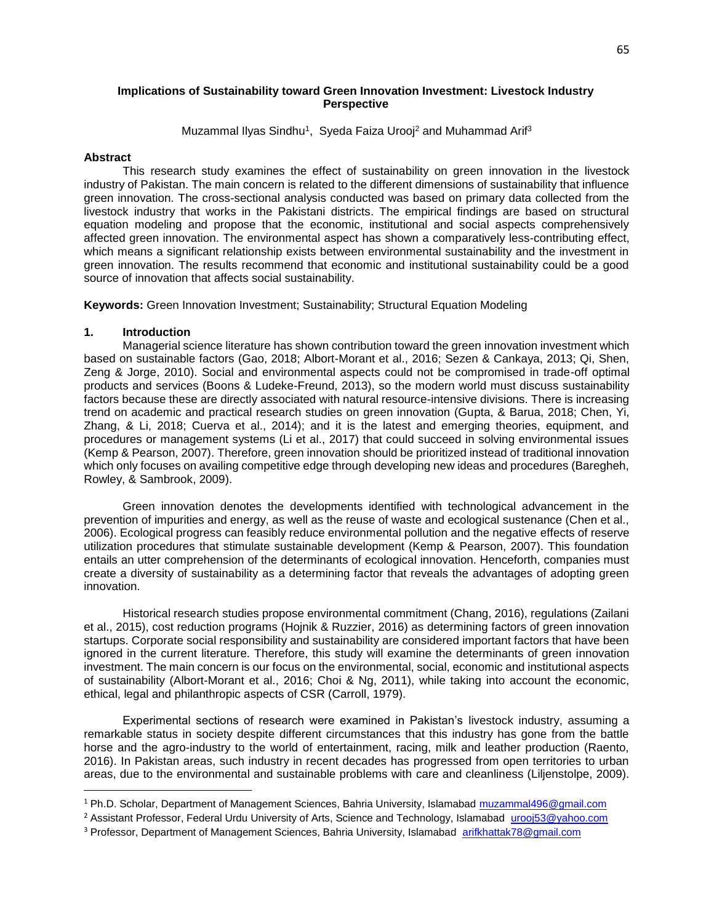Muzammal Ilyas Sindhu<sup>1</sup>, Syeda Faiza Urooj<sup>2</sup> and Muhammad Arif<sup>3</sup>

#### **Abstract**

 This research study examines the effect of sustainability on green innovation in the livestock industry of Pakistan. The main concern is related to the different dimensions of sustainability that influence green innovation. The cross-sectional analysis conducted was based on primary data collected from the livestock industry that works in the Pakistani districts. The empirical findings are based on structural equation modeling and propose that the economic, institutional and social aspects comprehensively affected green innovation. The environmental aspect has shown a comparatively less-contributing effect, which means a significant relationship exists between environmental sustainability and the investment in green innovation. The results recommend that economic and institutional sustainability could be a good source of innovation that affects social sustainability.

**Keywords:** Green Innovation Investment; Sustainability; Structural Equation Modeling

#### **1. Introduction**

 $\overline{a}$ 

 Managerial science literature has shown contribution toward the green innovation investment which based on sustainable factors (Gao, 2018; Albort-Morant et al., 2016; Sezen & Cankaya, 2013; Qi, Shen, Zeng & Jorge, 2010). Social and environmental aspects could not be compromised in trade-off optimal products and services (Boons & Ludeke-Freund, 2013), so the modern world must discuss sustainability factors because these are directly associated with natural resource-intensive divisions. There is increasing trend on academic and practical research studies on green innovation (Gupta, & Barua, 2018; Chen, Yi, Zhang, & Li, 2018; Cuerva et al., 2014); and it is the latest and emerging theories, equipment, and procedures or management systems (Li et al., 2017) that could succeed in solving environmental issues (Kemp & Pearson, 2007). Therefore, green innovation should be prioritized instead of traditional innovation which only focuses on availing competitive edge through developing new ideas and procedures (Baregheh, Rowley, & Sambrook, 2009).

 Green innovation denotes the developments identified with technological advancement in the prevention of impurities and energy, as well as the reuse of waste and ecological sustenance (Chen et al., 2006). Ecological progress can feasibly reduce environmental pollution and the negative effects of reserve utilization procedures that stimulate sustainable development (Kemp & Pearson, 2007). This foundation entails an utter comprehension of the determinants of ecological innovation. Henceforth, companies must create a diversity of sustainability as a determining factor that reveals the advantages of adopting green innovation.

 Historical research studies propose environmental commitment (Chang, 2016), regulations (Zailani et al., 2015), cost reduction programs (Hojnik & Ruzzier, 2016) as determining factors of green innovation startups. Corporate social responsibility and sustainability are considered important factors that have been ignored in the current literature. Therefore, this study will examine the determinants of green innovation investment. The main concern is our focus on the environmental, social, economic and institutional aspects of sustainability (Albort-Morant et al., 2016; Choi & Ng, 2011), while taking into account the economic, ethical, legal and philanthropic aspects of CSR (Carroll, 1979).

 Experimental sections of research were examined in Pakistan's livestock industry, assuming a remarkable status in society despite different circumstances that this industry has gone from the battle horse and the agro-industry to the world of entertainment, racing, milk and leather production (Raento, 2016). In Pakistan areas, such industry in recent decades has progressed from open territories to urban areas, due to the environmental and sustainable problems with care and cleanliness (Liljenstolpe, 2009).

<sup>1</sup> Ph.D. Scholar, Department of Management Sciences, Bahria University, Islamabad [muzammal496@gmail.com](mailto:muzammal496@gmail.com)

<sup>&</sup>lt;sup>2</sup> Assistant Professor, Federal Urdu University of Arts, Science and Technology, Islamabad [urooj53@yahoo.com](mailto:urooj53@yahoo.com)

<sup>3</sup> Professor, Department of Management Sciences, Bahria University, Islamabad [arifkhattak78@gmail.com](mailto:arifkhattak78@gmail.com)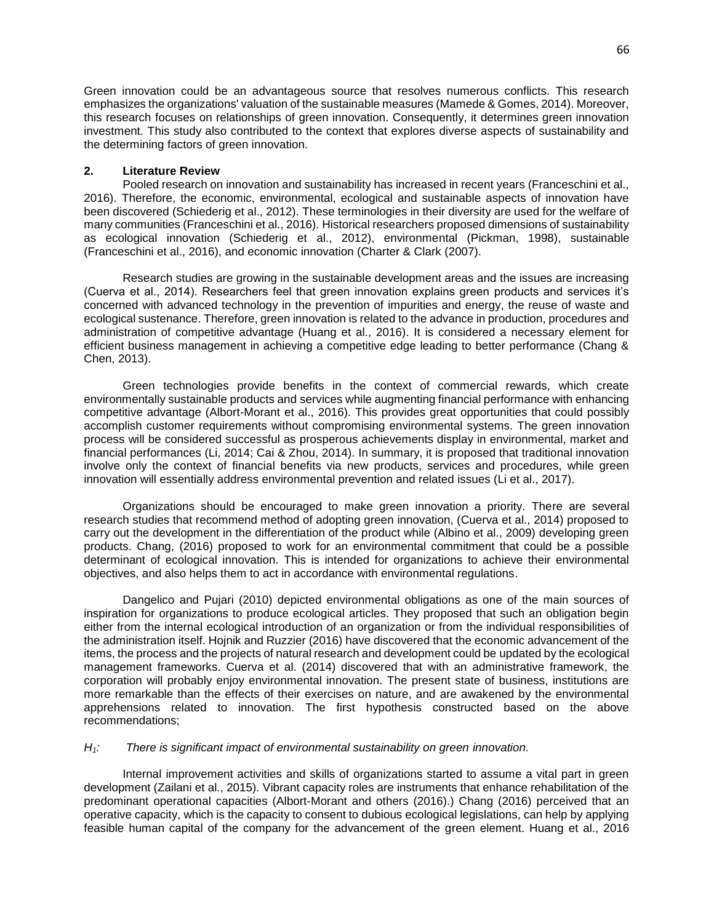Green innovation could be an advantageous source that resolves numerous conflicts. This research emphasizes the organizations' valuation of the sustainable measures (Mamede & Gomes, 2014). Moreover, this research focuses on relationships of green innovation. Consequently, it determines green innovation investment. This study also contributed to the context that explores diverse aspects of sustainability and the determining factors of green innovation.

# **2. Literature Review**

 Pooled research on innovation and sustainability has increased in recent years (Franceschini et al., 2016). Therefore, the economic, environmental, ecological and sustainable aspects of innovation have been discovered (Schiederig et al., 2012). These terminologies in their diversity are used for the welfare of many communities (Franceschini et al., 2016). Historical researchers proposed dimensions of sustainability as ecological innovation (Schiederig et al., 2012), environmental (Pickman, 1998), sustainable (Franceschini et al., 2016), and economic innovation (Charter & Clark (2007).

 Research studies are growing in the sustainable development areas and the issues are increasing (Cuerva et al., 2014). Researchers feel that green innovation explains green products and services it's concerned with advanced technology in the prevention of impurities and energy, the reuse of waste and ecological sustenance. Therefore, green innovation is related to the advance in production, procedures and administration of competitive advantage (Huang et al., 2016). It is considered a necessary element for efficient business management in achieving a competitive edge leading to better performance (Chang & Chen, 2013).

 Green technologies provide benefits in the context of commercial rewards, which create environmentally sustainable products and services while augmenting financial performance with enhancing competitive advantage (Albort-Morant et al., 2016). This provides great opportunities that could possibly accomplish customer requirements without compromising environmental systems. The green innovation process will be considered successful as prosperous achievements display in environmental, market and financial performances (Li, 2014; Cai & Zhou, 2014). In summary, it is proposed that traditional innovation involve only the context of financial benefits via new products, services and procedures, while green innovation will essentially address environmental prevention and related issues (Li et al., 2017).

 Organizations should be encouraged to make green innovation a priority. There are several research studies that recommend method of adopting green innovation, (Cuerva et al., 2014) proposed to carry out the development in the differentiation of the product while (Albino et al., 2009) developing green products. Chang, (2016) proposed to work for an environmental commitment that could be a possible determinant of ecological innovation. This is intended for organizations to achieve their environmental objectives, and also helps them to act in accordance with environmental regulations.

 Dangelico and Pujari (2010) depicted environmental obligations as one of the main sources of inspiration for organizations to produce ecological articles. They proposed that such an obligation begin either from the internal ecological introduction of an organization or from the individual responsibilities of the administration itself. Hojnik and Ruzzier (2016) have discovered that the economic advancement of the items, the process and the projects of natural research and development could be updated by the ecological management frameworks. Cuerva et al. (2014) discovered that with an administrative framework, the corporation will probably enjoy environmental innovation. The present state of business, institutions are more remarkable than the effects of their exercises on nature, and are awakened by the environmental apprehensions related to innovation. The first hypothesis constructed based on the above recommendations;

## *H1: There is significant impact of environmental sustainability on green innovation.*

 Internal improvement activities and skills of organizations started to assume a vital part in green development (Zailani et al., 2015). Vibrant capacity roles are instruments that enhance rehabilitation of the predominant operational capacities (Albort-Morant and others (2016).) Chang (2016) perceived that an operative capacity, which is the capacity to consent to dubious ecological legislations, can help by applying feasible human capital of the company for the advancement of the green element. Huang et al., 2016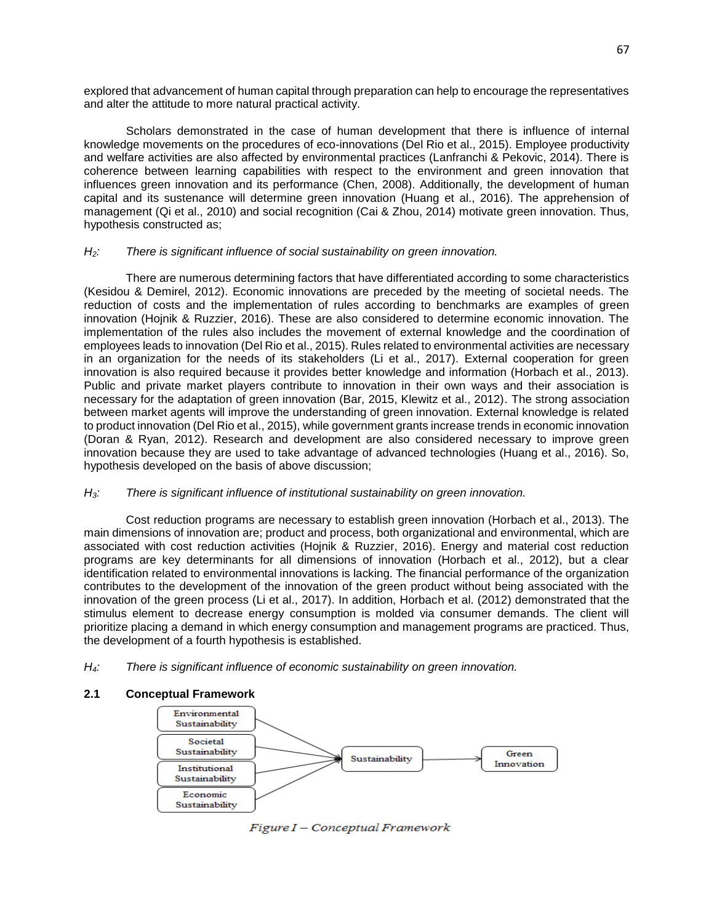explored that advancement of human capital through preparation can help to encourage the representatives and alter the attitude to more natural practical activity.

 Scholars demonstrated in the case of human development that there is influence of internal knowledge movements on the procedures of eco-innovations (Del Rio et al., 2015). Employee productivity and welfare activities are also affected by environmental practices (Lanfranchi & Pekovic, 2014). There is coherence between learning capabilities with respect to the environment and green innovation that influences green innovation and its performance (Chen, 2008). Additionally, the development of human capital and its sustenance will determine green innovation (Huang et al., 2016). The apprehension of management (Qi et al., 2010) and social recognition (Cai & Zhou, 2014) motivate green innovation. Thus, hypothesis constructed as;

## *H2: There is significant influence of social sustainability on green innovation.*

 There are numerous determining factors that have differentiated according to some characteristics (Kesidou & Demirel, 2012). Economic innovations are preceded by the meeting of societal needs. The reduction of costs and the implementation of rules according to benchmarks are examples of green innovation (Hojnik & Ruzzier, 2016). These are also considered to determine economic innovation. The implementation of the rules also includes the movement of external knowledge and the coordination of employees leads to innovation (Del Rio et al., 2015). Rules related to environmental activities are necessary in an organization for the needs of its stakeholders (Li et al., 2017). External cooperation for green innovation is also required because it provides better knowledge and information (Horbach et al., 2013). Public and private market players contribute to innovation in their own ways and their association is necessary for the adaptation of green innovation (Bar, 2015, Klewitz et al., 2012). The strong association between market agents will improve the understanding of green innovation. External knowledge is related to product innovation (Del Rio et al., 2015), while government grants increase trends in economic innovation (Doran & Ryan, 2012). Research and development are also considered necessary to improve green innovation because they are used to take advantage of advanced technologies (Huang et al., 2016). So, hypothesis developed on the basis of above discussion;

# *H3: There is significant influence of institutional sustainability on green innovation.*

 Cost reduction programs are necessary to establish green innovation (Horbach et al., 2013). The main dimensions of innovation are; product and process, both organizational and environmental, which are associated with cost reduction activities (Hojnik & Ruzzier, 2016). Energy and material cost reduction programs are key determinants for all dimensions of innovation (Horbach et al., 2012), but a clear identification related to environmental innovations is lacking. The financial performance of the organization contributes to the development of the innovation of the green product without being associated with the innovation of the green process (Li et al., 2017). In addition, Horbach et al. (2012) demonstrated that the stimulus element to decrease energy consumption is molded via consumer demands. The client will prioritize placing a demand in which energy consumption and management programs are practiced. Thus, the development of a fourth hypothesis is established.

*H4: There is significant influence of economic sustainability on green innovation.*

## **2.1 Conceptual Framework**



Figure I - Conceptual Framework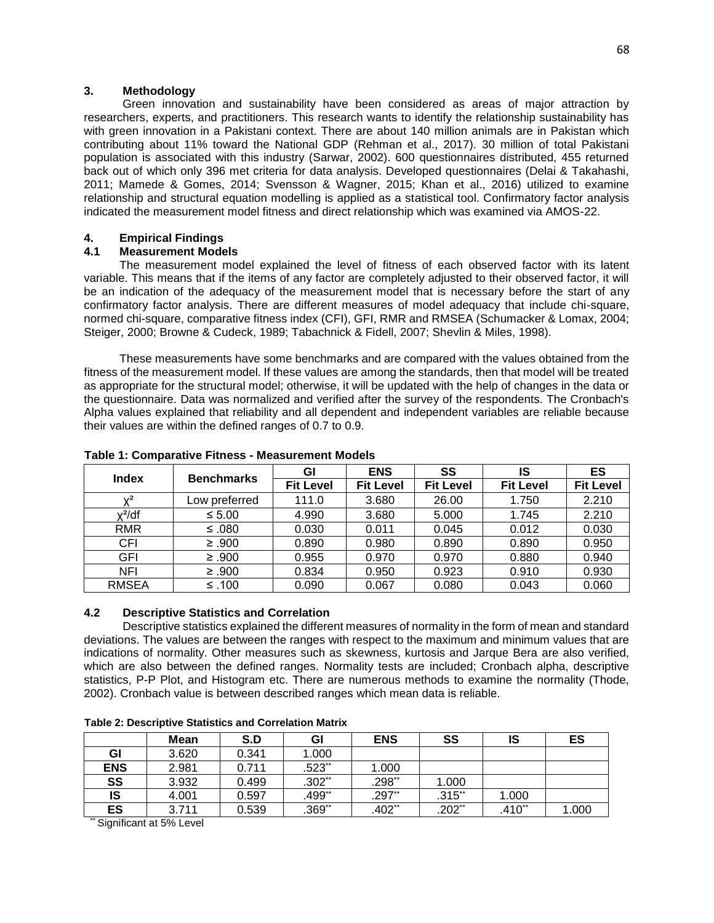### **3. Methodology**

 Green innovation and sustainability have been considered as areas of major attraction by researchers, experts, and practitioners. This research wants to identify the relationship sustainability has with green innovation in a Pakistani context. There are about 140 million animals are in Pakistan which contributing about 11% toward the National GDP (Rehman et al., 2017). 30 million of total Pakistani population is associated with this industry (Sarwar, 2002). 600 questionnaires distributed, 455 returned back out of which only 396 met criteria for data analysis. Developed questionnaires (Delai & Takahashi, 2011; Mamede & Gomes, 2014; Svensson & Wagner, 2015; Khan et al., 2016) utilized to examine relationship and structural equation modelling is applied as a statistical tool. Confirmatory factor analysis indicated the measurement model fitness and direct relationship which was examined via AMOS-22.

# **4. Empirical Findings**

## **4.1 Measurement Models**

 The measurement model explained the level of fitness of each observed factor with its latent variable. This means that if the items of any factor are completely adjusted to their observed factor, it will be an indication of the adequacy of the measurement model that is necessary before the start of any confirmatory factor analysis. There are different measures of model adequacy that include chi-square, normed chi-square, comparative fitness index (CFI), GFI, RMR and RMSEA (Schumacker & Lomax, 2004; Steiger, 2000; Browne & Cudeck, 1989; Tabachnick & Fidell, 2007; Shevlin & Miles, 1998).

 These measurements have some benchmarks and are compared with the values obtained from the fitness of the measurement model. If these values are among the standards, then that model will be treated as appropriate for the structural model; otherwise, it will be updated with the help of changes in the data or the questionnaire. Data was normalized and verified after the survey of the respondents. The Cronbach's Alpha values explained that reliability and all dependent and independent variables are reliable because their values are within the defined ranges of 0.7 to 0.9.

| <b>Index</b>       | <b>Benchmarks</b> | GI               | <b>ENS</b>       | SS               | IS               | ES               |
|--------------------|-------------------|------------------|------------------|------------------|------------------|------------------|
|                    |                   | <b>Fit Level</b> | <b>Fit Level</b> | <b>Fit Level</b> | <b>Fit Level</b> | <b>Fit Level</b> |
| $\mathsf{v}^2$     | Low preferred     | 111.0            | 3.680            | 26.00            | 1.750            | 2.210            |
| y <sup>2</sup> /df | $\leq 5.00$       | 4.990            | 3.680            | 5.000            | 1.745            | 2.210            |
| <b>RMR</b>         | ≤ .080            | 0.030            | 0.011            | 0.045            | 0.012            | 0.030            |
| CFI                | $≥ .900$          | 0.890            | 0.980            | 0.890            | 0.890            | 0.950            |
| GFI                | $≥ .900$          | 0.955            | 0.970            | 0.970            | 0.880            | 0.940            |
| <b>NFI</b>         | $≥ .900$          | 0.834            | 0.950            | 0.923            | 0.910            | 0.930            |
| <b>RMSEA</b>       | $≤ .100$          | 0.090            | 0.067            | 0.080            | 0.043            | 0.060            |

# **Table 1: Comparative Fitness - Measurement Models**

## **4.2 Descriptive Statistics and Correlation**

 Descriptive statistics explained the different measures of normality in the form of mean and standard deviations. The values are between the ranges with respect to the maximum and minimum values that are indications of normality. Other measures such as skewness, kurtosis and Jarque Bera are also verified, which are also between the defined ranges. Normality tests are included; Cronbach alpha, descriptive statistics, P-P Plot, and Histogram etc. There are numerous methods to examine the normality (Thode, 2002). Cronbach value is between described ranges which mean data is reliable.

|            | Mean  | S.D   | GI        | <b>ENS</b> | SS       | IS       | ES    |
|------------|-------|-------|-----------|------------|----------|----------|-------|
| GI         | 3.620 | 0.341 | 1.000     |            |          |          |       |
| <b>ENS</b> | 2.981 | 0.711 | $.523$ ** | 1.000      |          |          |       |
| SS         | 3.932 | 0.499 | $.302**$  | $.298**$   | 1.000    |          |       |
| IS         | 4.001 | 0.597 | .499**    | $.297$ **  | $.315**$ | 1.000    |       |
| ES         | 3.711 | 0.539 | $.369**$  | $.402**$   | $.202**$ | $.410**$ | 1.000 |

**Table 2: Descriptive Statistics and Correlation Matrix**

\*\* Significant at 5% Level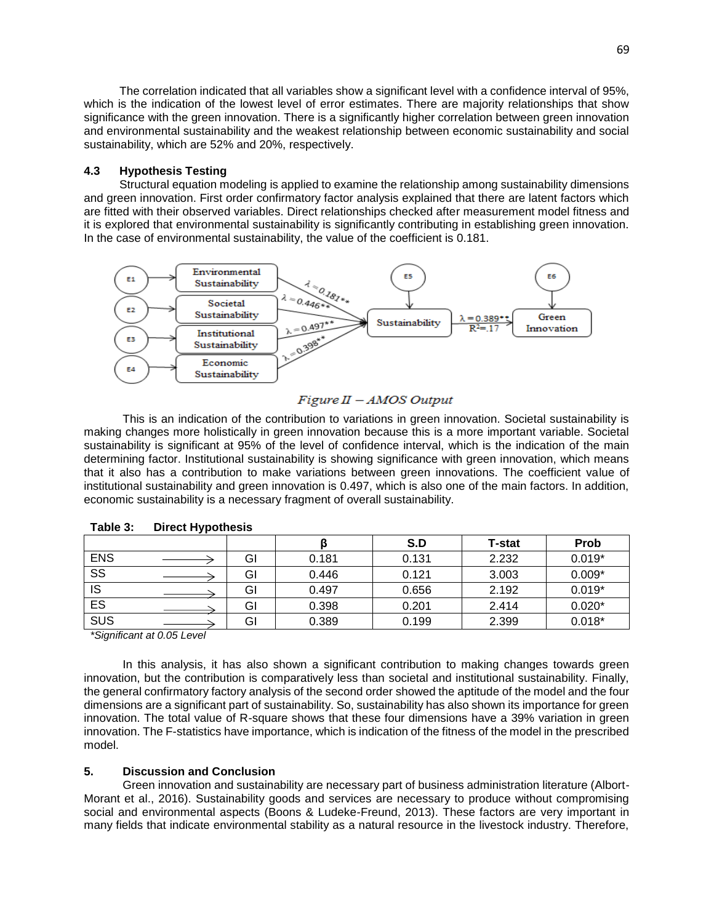The correlation indicated that all variables show a significant level with a confidence interval of 95%, which is the indication of the lowest level of error estimates. There are majority relationships that show significance with the green innovation. There is a significantly higher correlation between green innovation and environmental sustainability and the weakest relationship between economic sustainability and social sustainability, which are 52% and 20%, respectively.

### **4.3 Hypothesis Testing**

 Structural equation modeling is applied to examine the relationship among sustainability dimensions and green innovation. First order confirmatory factor analysis explained that there are latent factors which are fitted with their observed variables. Direct relationships checked after measurement model fitness and it is explored that environmental sustainability is significantly contributing in establishing green innovation. In the case of environmental sustainability, the value of the coefficient is 0.181.



### $Figure II - AMOS Output$

 This is an indication of the contribution to variations in green innovation. Societal sustainability is making changes more holistically in green innovation because this is a more important variable. Societal sustainability is significant at 95% of the level of confidence interval, which is the indication of the main determining factor. Institutional sustainability is showing significance with green innovation, which means that it also has a contribution to make variations between green innovations. The coefficient value of institutional sustainability and green innovation is 0.497, which is also one of the main factors. In addition, economic sustainability is a necessary fragment of overall sustainability.

|                        |    |       | S.D   | <b>T-stat</b> | <b>Prob</b> |
|------------------------|----|-------|-------|---------------|-------------|
| <b>ENS</b>             | GI | 0.181 | 0.131 | 2.232         | $0.019*$    |
| $\overline{\text{ss}}$ | GI | 0.446 | 0.121 | 3.003         | $0.009*$    |
| <b>IS</b>              | GI | 0.497 | 0.656 | 2.192         | $0.019*$    |
| ES                     | GI | 0.398 | 0.201 | 2.414         | $0.020*$    |
| SUS                    | GI | 0.389 | 0.199 | 2.399         | $0.018*$    |

**Table 3: Direct Hypothesis**

*\*Significant at 0.05 Level*

 In this analysis, it has also shown a significant contribution to making changes towards green innovation, but the contribution is comparatively less than societal and institutional sustainability. Finally, the general confirmatory factory analysis of the second order showed the aptitude of the model and the four dimensions are a significant part of sustainability. So, sustainability has also shown its importance for green innovation. The total value of R-square shows that these four dimensions have a 39% variation in green innovation. The F-statistics have importance, which is indication of the fitness of the model in the prescribed model.

#### **5. Discussion and Conclusion**

 Green innovation and sustainability are necessary part of business administration literature (Albort-Morant et al., 2016). Sustainability goods and services are necessary to produce without compromising social and environmental aspects (Boons & Ludeke-Freund, 2013). These factors are very important in many fields that indicate environmental stability as a natural resource in the livestock industry. Therefore,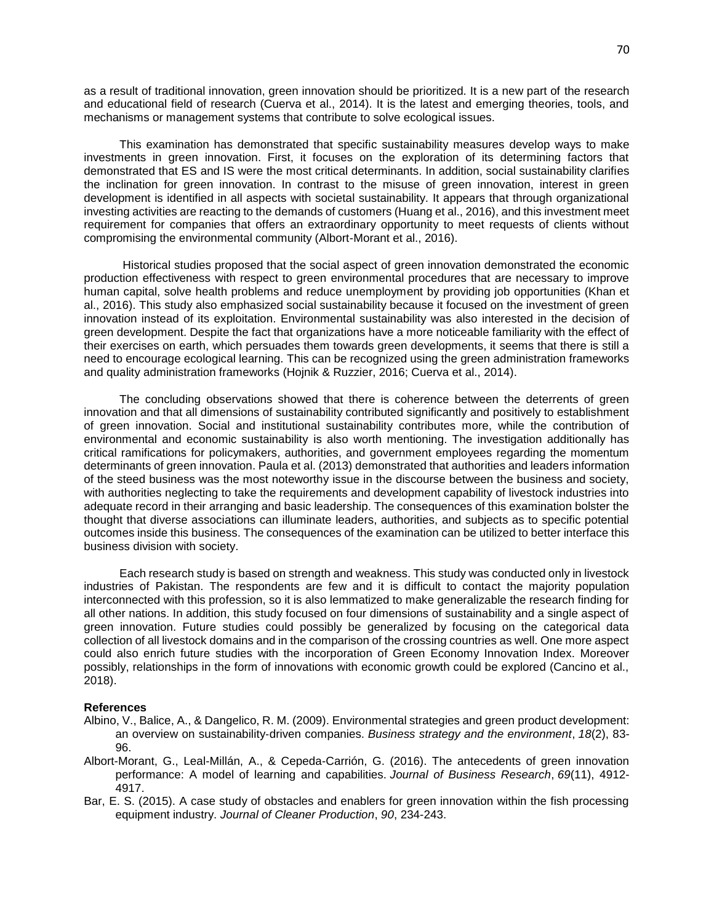as a result of traditional innovation, green innovation should be prioritized. It is a new part of the research and educational field of research (Cuerva et al., 2014). It is the latest and emerging theories, tools, and mechanisms or management systems that contribute to solve ecological issues.

 This examination has demonstrated that specific sustainability measures develop ways to make investments in green innovation. First, it focuses on the exploration of its determining factors that demonstrated that ES and IS were the most critical determinants. In addition, social sustainability clarifies the inclination for green innovation. In contrast to the misuse of green innovation, interest in green development is identified in all aspects with societal sustainability. It appears that through organizational investing activities are reacting to the demands of customers (Huang et al., 2016), and this investment meet requirement for companies that offers an extraordinary opportunity to meet requests of clients without compromising the environmental community (Albort-Morant et al., 2016).

 Historical studies proposed that the social aspect of green innovation demonstrated the economic production effectiveness with respect to green environmental procedures that are necessary to improve human capital, solve health problems and reduce unemployment by providing job opportunities (Khan et al., 2016). This study also emphasized social sustainability because it focused on the investment of green innovation instead of its exploitation. Environmental sustainability was also interested in the decision of green development. Despite the fact that organizations have a more noticeable familiarity with the effect of their exercises on earth, which persuades them towards green developments, it seems that there is still a need to encourage ecological learning. This can be recognized using the green administration frameworks and quality administration frameworks (Hojnik & Ruzzier, 2016; Cuerva et al., 2014).

 The concluding observations showed that there is coherence between the deterrents of green innovation and that all dimensions of sustainability contributed significantly and positively to establishment of green innovation. Social and institutional sustainability contributes more, while the contribution of environmental and economic sustainability is also worth mentioning. The investigation additionally has critical ramifications for policymakers, authorities, and government employees regarding the momentum determinants of green innovation. Paula et al. (2013) demonstrated that authorities and leaders information of the steed business was the most noteworthy issue in the discourse between the business and society, with authorities neglecting to take the requirements and development capability of livestock industries into adequate record in their arranging and basic leadership. The consequences of this examination bolster the thought that diverse associations can illuminate leaders, authorities, and subjects as to specific potential outcomes inside this business. The consequences of the examination can be utilized to better interface this business division with society.

 Each research study is based on strength and weakness. This study was conducted only in livestock industries of Pakistan. The respondents are few and it is difficult to contact the majority population interconnected with this profession, so it is also lemmatized to make generalizable the research finding for all other nations. In addition, this study focused on four dimensions of sustainability and a single aspect of green innovation. Future studies could possibly be generalized by focusing on the categorical data collection of all livestock domains and in the comparison of the crossing countries as well. One more aspect could also enrich future studies with the incorporation of Green Economy Innovation Index. Moreover possibly, relationships in the form of innovations with economic growth could be explored (Cancino et al., 2018).

#### **References**

- Albino, V., Balice, A., & Dangelico, R. M. (2009). Environmental strategies and green product development: an overview on sustainability‐driven companies. *Business strategy and the environment*, *18*(2), 83- 96.
- Albort-Morant, G., Leal-Millán, A., & Cepeda-Carrión, G. (2016). The antecedents of green innovation performance: A model of learning and capabilities. *Journal of Business Research*, *69*(11), 4912- 4917.
- Bar, E. S. (2015). A case study of obstacles and enablers for green innovation within the fish processing equipment industry. *Journal of Cleaner Production*, *90*, 234-243.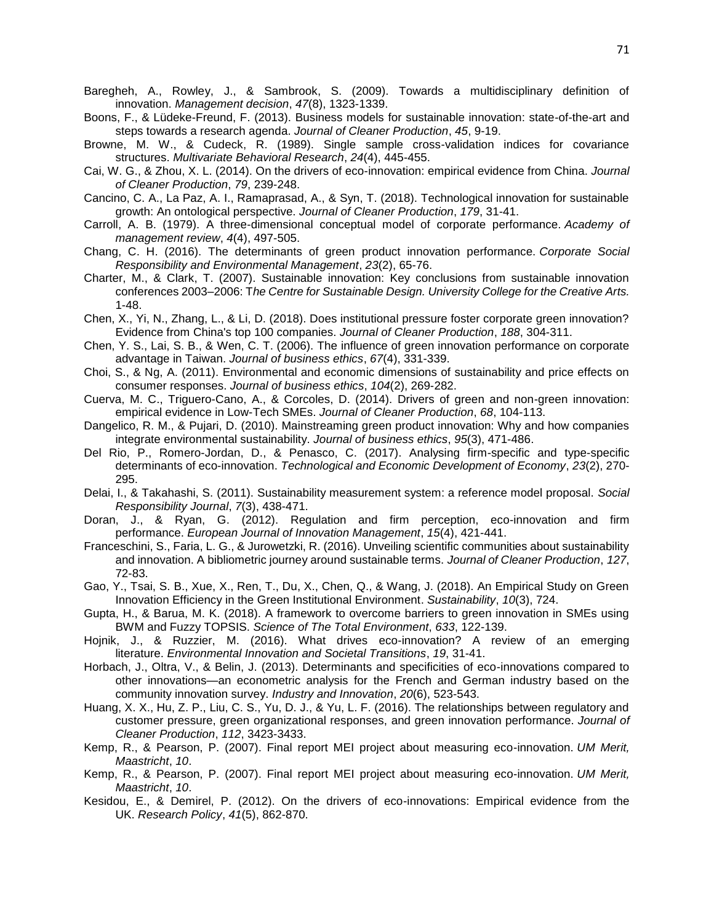- Baregheh, A., Rowley, J., & Sambrook, S. (2009). Towards a multidisciplinary definition of innovation. *Management decision*, *47*(8), 1323-1339.
- Boons, F., & Lüdeke-Freund, F. (2013). Business models for sustainable innovation: state-of-the-art and steps towards a research agenda. *Journal of Cleaner Production*, *45*, 9-19.
- Browne, M. W., & Cudeck, R. (1989). Single sample cross-validation indices for covariance structures. *Multivariate Behavioral Research*, *24*(4), 445-455.
- Cai, W. G., & Zhou, X. L. (2014). On the drivers of eco-innovation: empirical evidence from China. *Journal of Cleaner Production*, *79*, 239-248.
- Cancino, C. A., La Paz, A. I., Ramaprasad, A., & Syn, T. (2018). Technological innovation for sustainable growth: An ontological perspective. *Journal of Cleaner Production*, *179*, 31-41.
- Carroll, A. B. (1979). A three-dimensional conceptual model of corporate performance. *Academy of management review*, *4*(4), 497-505.
- Chang, C. H. (2016). The determinants of green product innovation performance. *Corporate Social Responsibility and Environmental Management*, *23*(2), 65-76.
- Charter, M., & Clark, T. (2007). Sustainable innovation: Key conclusions from sustainable innovation conferences 2003–2006: T*he Centre for Sustainable Design. University College for the Creative Arts.*  1-48.
- Chen, X., Yi, N., Zhang, L., & Li, D. (2018). Does institutional pressure foster corporate green innovation? Evidence from China's top 100 companies. *Journal of Cleaner Production*, *188*, 304-311.
- Chen, Y. S., Lai, S. B., & Wen, C. T. (2006). The influence of green innovation performance on corporate advantage in Taiwan. *Journal of business ethics*, *67*(4), 331-339.
- Choi, S., & Ng, A. (2011). Environmental and economic dimensions of sustainability and price effects on consumer responses. *Journal of business ethics*, *104*(2), 269-282.
- Cuerva, M. C., Triguero-Cano, A., & Corcoles, D. (2014). Drivers of green and non-green innovation: empirical evidence in Low-Tech SMEs. *Journal of Cleaner Production*, *68*, 104-113.
- Dangelico, R. M., & Pujari, D. (2010). Mainstreaming green product innovation: Why and how companies integrate environmental sustainability. *Journal of business ethics*, *95*(3), 471-486.
- Del Rio, P., Romero-Jordan, D., & Penasco, C. (2017). Analysing firm-specific and type-specific determinants of eco-innovation. *Technological and Economic Development of Economy*, *23*(2), 270- 295.
- Delai, I., & Takahashi, S. (2011). Sustainability measurement system: a reference model proposal. *Social Responsibility Journal*, *7*(3), 438-471.
- Doran, J., & Ryan, G. (2012). Regulation and firm perception, eco-innovation and firm performance. *European Journal of Innovation Management*, *15*(4), 421-441.
- Franceschini, S., Faria, L. G., & Jurowetzki, R. (2016). Unveiling scientific communities about sustainability and innovation. A bibliometric journey around sustainable terms. *Journal of Cleaner Production*, *127*, 72-83.
- Gao, Y., Tsai, S. B., Xue, X., Ren, T., Du, X., Chen, Q., & Wang, J. (2018). An Empirical Study on Green Innovation Efficiency in the Green Institutional Environment. *Sustainability*, *10*(3), 724.
- Gupta, H., & Barua, M. K. (2018). A framework to overcome barriers to green innovation in SMEs using BWM and Fuzzy TOPSIS. *Science of The Total Environment*, *633*, 122-139.
- Hojnik, J., & Ruzzier, M. (2016). What drives eco-innovation? A review of an emerging literature. *Environmental Innovation and Societal Transitions*, *19*, 31-41.
- Horbach, J., Oltra, V., & Belin, J. (2013). Determinants and specificities of eco-innovations compared to other innovations—an econometric analysis for the French and German industry based on the community innovation survey. *Industry and Innovation*, *20*(6), 523-543.
- Huang, X. X., Hu, Z. P., Liu, C. S., Yu, D. J., & Yu, L. F. (2016). The relationships between regulatory and customer pressure, green organizational responses, and green innovation performance. *Journal of Cleaner Production*, *112*, 3423-3433.
- Kemp, R., & Pearson, P. (2007). Final report MEI project about measuring eco-innovation. *UM Merit, Maastricht*, *10*.
- Kemp, R., & Pearson, P. (2007). Final report MEI project about measuring eco-innovation. *UM Merit, Maastricht*, *10*.
- Kesidou, E., & Demirel, P. (2012). On the drivers of eco-innovations: Empirical evidence from the UK. *Research Policy*, *41*(5), 862-870.